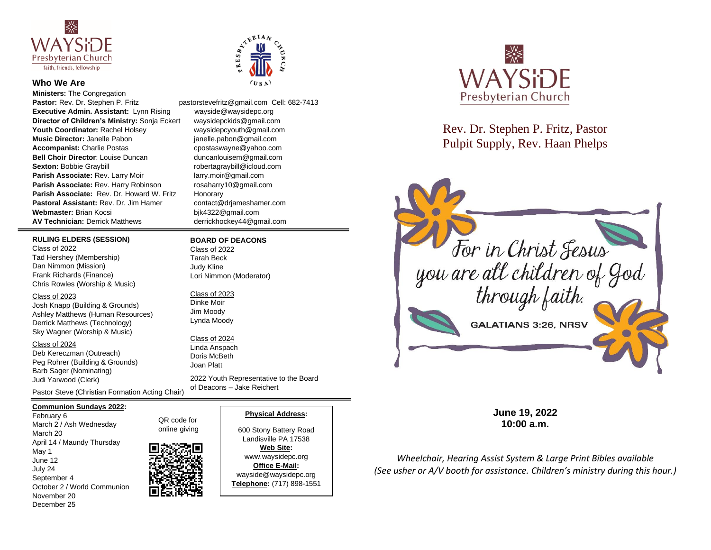

### **Who We Are**

**Ministers: The Congregation** Pastor: Rev. Dr. Stephen P. Fritz pastorstevefritz@gmail.com Cell: 682-7413 **Executive Admin. Assistant:** Lynn Rising wayside@waysidepc.org **Director of Children's Ministry:** Sonja Eckert waysidepckids@gmail.com **Youth Coordinator:** Rachel Holsey waysidepcyouth@gmail.com **Music Director:** Janelle Pabon janelle.pabon@gmail.com **Accompanist:** Charlie Postas contractions contract charge contraction companies contract charge contract companies **Bell Choir Director**: Louise Duncan duncanlouisem@gmail.com **Sexton:** Bobbie Graybill **Report Account 10 and 10 and 10 and 10 and 10 and 10 and 10 and 10 and 10 and 10 and 10 and 10 and 10 and 10 and 10 and 10 and 10 and 10 and 10 and 10 and 10 and 10 and 10 and 10 and 10 and 10 an Parish Associate:** Rev. Larry Moir larry.moir@gmail.com **Parish Associate:** Rev. Harry Robinson rosaharry10@gmail.com Parish Associate: Rev. Dr. Howard W. Fritz Honorary **Pastoral Assistant: Rev. Dr. Jim Hamer contact@driameshamer.com** Webmaster: Brian Kocsi bjk4322@gmail.com **AV Technician:** Derrick Matthews derrickhockey44@gmail.com

#### **RULING ELDERS (SESSION)**

Class of 2022 Tad Hershey (Membership) Dan Nimmon (Mission) Frank Richards (Finance) Chris Rowles (Worship & Music)

#### Class of 2023

Josh Knapp (Building & Grounds) Ashley Matthews (Human Resources) Derrick Matthews (Technology) Sky Wagner (Worship & Music)

Class of 2024

Deb Kereczman (Outreach) Peg Rohrer (Building & Grounds) Barb Sager (Nominating) Judi Yarwood (Clerk)

Pastor Steve (Christian Formation Acting Chair)

#### **Communion Sundays 2022:**

February 6 March 2 / Ash Wednesday March 20 April 14 / Maundy Thursday May 1 June 12 July 24 September 4 October 2 / World Communion November 20 December 25

QR code for online giving



### **Physical Address:**

2022 Youth Representative to the Board

of Deacons – Jake Reichert

**BOARD OF DEACONS**

 $\sum_{k=1}^{N} \frac{1}{k}$ 

US A

Lori Nimmon (Moderator)

Class of 2022 Tarah Beck Judy Kline

Class of 2023 Dinke Moir Jim Moody Lynda Moody Class of 2024 Linda Anspach Doris McBeth Joan Platt

> 600 Stony Battery Road Landisville PA 17538

**Web Site:**  www.waysidepc.org **Office E-Mail:**  wayside@waysidepc.org **Telephone:** (717) 898-1551



Rev. Dr. Stephen P. Fritz, Pastor Pulpit Supply, Rev. Haan Phelps



**June 19, 2022 10:00 a.m.**

*Wheelchair, Hearing Assist System & Large Print Bibles available (See usher or A/V booth for assistance. Children's ministry during this hour.)*